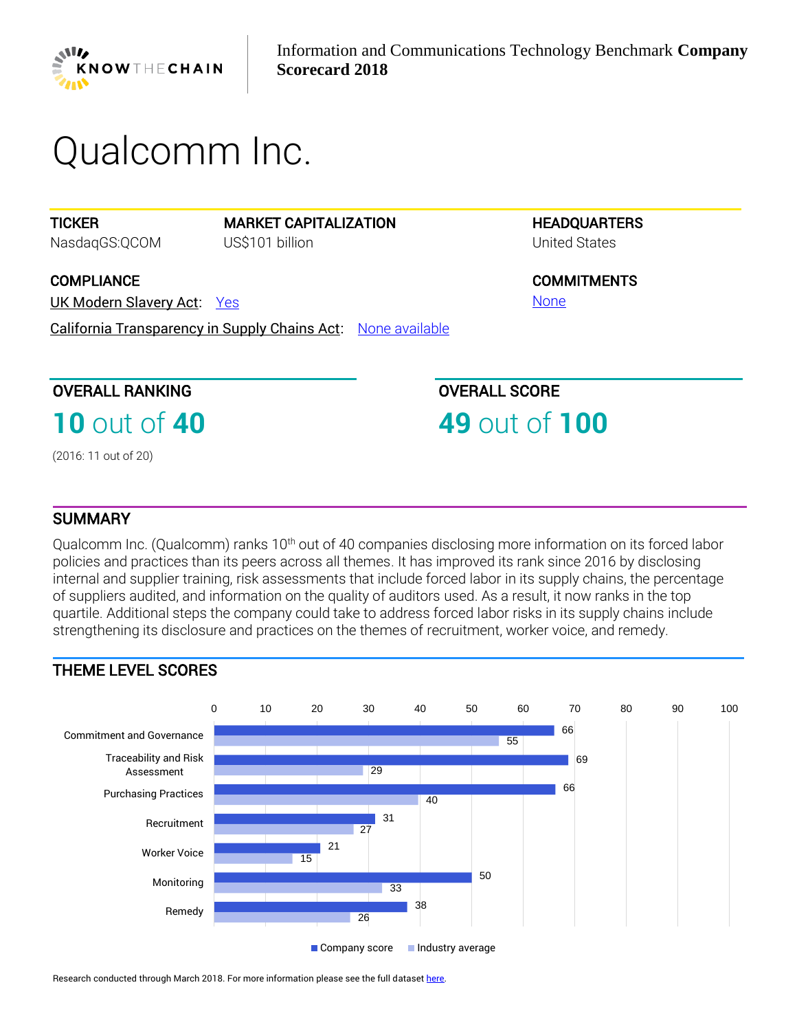

# *Qualcomm Inc.*

**TICKER** *NasdaqGS:QCOM* MARKET CAPITALIZATION *US\$101 billion*

**COMPLIANCE** 

UK Modern Slavery Act: *[Yes](https://www.business-humanrights.org/en/knowthechain-ict-company-disclosure)*

California Transparency in Supply Chains Act: *[None available](https://www.business-humanrights.org/en/knowthechain-ict-company-disclosure)*

OVERALL RANKING

**10** *out of* **40**

*(2016: 11 out of 20)* 

**HEADQUARTERS** *United States*

**COMMITMENTS** *[None](https://www.business-humanrights.org/en/knowthechain-ict-company-disclosure)*

OVERALL SCORE

**49** *out of* **100**

### **SUMMARY**

*Qualcomm Inc. (Qualcomm) ranks 10th out of 40 companies disclosing more information on its forced labor policies and practices than its peers across all themes. It has improved its rank since 2016 by disclosing internal and supplier training, risk assessments that include forced labor in its supply chains, the percentage of suppliers audited, and information on the quality of auditors used. As a result, it now ranks in the top quartile. Additional steps the company could take to address forced labor risks in its supply chains include strengthening its disclosure and practices on the themes of recruitment, worker voice, and remedy.*

## THEME LEVEL SCORES



Research conducted through March 2018. For more information please see the full datase[t here.](https://knowthechain.org/benchmark-downloads/)